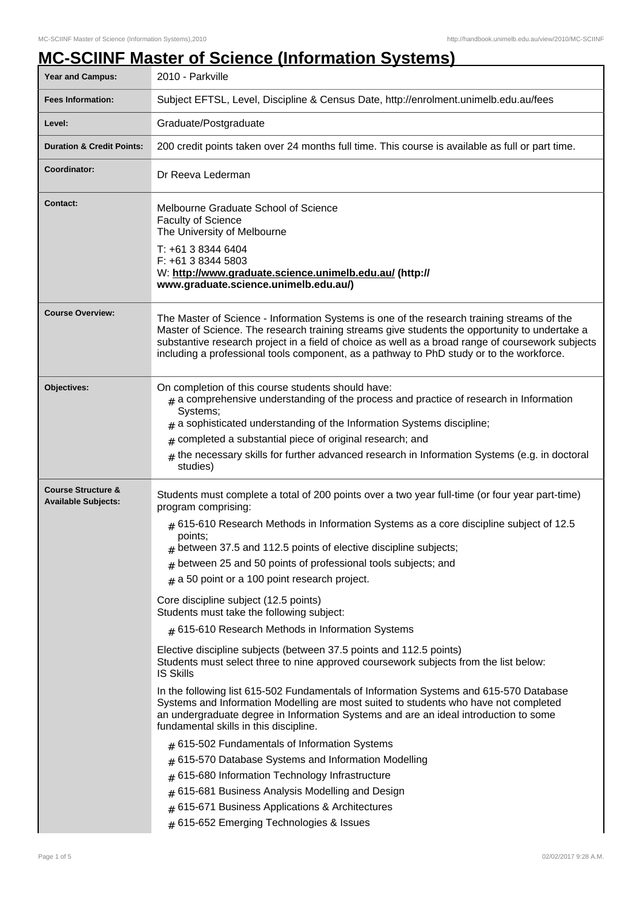## **MC-SCIINF Master of Science (Information Systems)**

| <b>Year and Campus:</b>                                     | 2010 - Parkville                                                                                                                                                                                                                                                                                                                                                                                                                                                                                                                                                                                                                                                                                                                                                                                                                                                                                                                                                                                                                                                                                                                                                                                                                                                                                                                                                                                     |  |  |
|-------------------------------------------------------------|------------------------------------------------------------------------------------------------------------------------------------------------------------------------------------------------------------------------------------------------------------------------------------------------------------------------------------------------------------------------------------------------------------------------------------------------------------------------------------------------------------------------------------------------------------------------------------------------------------------------------------------------------------------------------------------------------------------------------------------------------------------------------------------------------------------------------------------------------------------------------------------------------------------------------------------------------------------------------------------------------------------------------------------------------------------------------------------------------------------------------------------------------------------------------------------------------------------------------------------------------------------------------------------------------------------------------------------------------------------------------------------------------|--|--|
| <b>Fees Information:</b>                                    | Subject EFTSL, Level, Discipline & Census Date, http://enrolment.unimelb.edu.au/fees                                                                                                                                                                                                                                                                                                                                                                                                                                                                                                                                                                                                                                                                                                                                                                                                                                                                                                                                                                                                                                                                                                                                                                                                                                                                                                                 |  |  |
| Level:                                                      | Graduate/Postgraduate                                                                                                                                                                                                                                                                                                                                                                                                                                                                                                                                                                                                                                                                                                                                                                                                                                                                                                                                                                                                                                                                                                                                                                                                                                                                                                                                                                                |  |  |
| <b>Duration &amp; Credit Points:</b>                        | 200 credit points taken over 24 months full time. This course is available as full or part time.                                                                                                                                                                                                                                                                                                                                                                                                                                                                                                                                                                                                                                                                                                                                                                                                                                                                                                                                                                                                                                                                                                                                                                                                                                                                                                     |  |  |
| <b>Coordinator:</b>                                         | Dr Reeva Lederman                                                                                                                                                                                                                                                                                                                                                                                                                                                                                                                                                                                                                                                                                                                                                                                                                                                                                                                                                                                                                                                                                                                                                                                                                                                                                                                                                                                    |  |  |
| <b>Contact:</b>                                             | Melbourne Graduate School of Science<br><b>Faculty of Science</b><br>The University of Melbourne<br>T: +61 3 8344 6404<br>F: +61 3 8344 5803<br>W: http://www.graduate.science.unimelb.edu.au/ (http://<br>www.graduate.science.unimelb.edu.au/)                                                                                                                                                                                                                                                                                                                                                                                                                                                                                                                                                                                                                                                                                                                                                                                                                                                                                                                                                                                                                                                                                                                                                     |  |  |
| <b>Course Overview:</b>                                     | The Master of Science - Information Systems is one of the research training streams of the<br>Master of Science. The research training streams give students the opportunity to undertake a<br>substantive research project in a field of choice as well as a broad range of coursework subjects<br>including a professional tools component, as a pathway to PhD study or to the workforce.                                                                                                                                                                                                                                                                                                                                                                                                                                                                                                                                                                                                                                                                                                                                                                                                                                                                                                                                                                                                         |  |  |
| Objectives:                                                 | On completion of this course students should have:<br>$_{\#}$ a comprehensive understanding of the process and practice of research in Information<br>Systems;<br>$_{\text{\#}}$ a sophisticated understanding of the Information Systems discipline;<br>completed a substantial piece of original research; and<br>#<br>the necessary skills for further advanced research in Information Systems (e.g. in doctoral<br>studies)                                                                                                                                                                                                                                                                                                                                                                                                                                                                                                                                                                                                                                                                                                                                                                                                                                                                                                                                                                     |  |  |
| <b>Course Structure &amp;</b><br><b>Available Subjects:</b> | Students must complete a total of 200 points over a two year full-time (or four year part-time)<br>program comprising:<br>$#$ 615-610 Research Methods in Information Systems as a core discipline subject of 12.5<br>points;<br>$*$ between 37.5 and 112.5 points of elective discipline subjects;<br>$#$ between 25 and 50 points of professional tools subjects; and<br>$#$ a 50 point or a 100 point research project.<br>Core discipline subject (12.5 points)<br>Students must take the following subject:<br>$#$ 615-610 Research Methods in Information Systems<br>Elective discipline subjects (between 37.5 points and 112.5 points)<br>Students must select three to nine approved coursework subjects from the list below:<br><b>IS Skills</b><br>In the following list 615-502 Fundamentals of Information Systems and 615-570 Database<br>Systems and Information Modelling are most suited to students who have not completed<br>an undergraduate degree in Information Systems and are an ideal introduction to some<br>fundamental skills in this discipline.<br>$#$ 615-502 Fundamentals of Information Systems<br>$#$ 615-570 Database Systems and Information Modelling<br>615-680 Information Technology Infrastructure<br>#<br>615-681 Business Analysis Modelling and Design<br>$#$ 615-671 Business Applications & Architectures<br># 615-652 Emerging Technologies & Issues |  |  |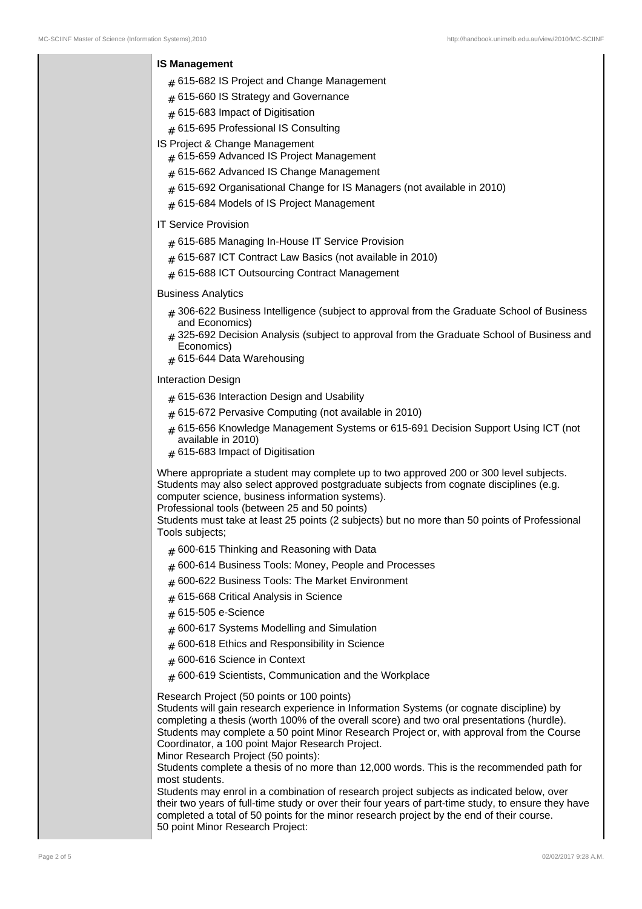## **IS Management**

- $_{\#}$  615-682 IS Project and Change Management
- $_{\rm \#}$  615-660 IS Strategy and Governance
- $_{\rm \#}$  615-683 Impact of Digitisation
- $_{\rm \#}$  615-695 Professional IS Consulting
- IS Project & Change Management
	- $_{\rm \#}$  615-659 Advanced IS Project Management
	- $_{\rm \#}$  615-662 Advanced IS Change Management
	- $_{\rm \#}$  615-692 Organisational Change for IS Managers (not available in 2010)
	- $_{\#}$  615-684 Models of IS Project Management

IT Service Provision

- $_{\rm \#}$  615-685 Managing In-House IT Service Provision
- # 615-687 ICT Contract Law Basics (not available in 2010)
- $_{\rm \#}$  615-688 ICT Outsourcing Contract Management

## Business Analytics

- # 306-622 Business Intelligence (subject to approval from the Graduate School of Business and Economics)
- # 325-692 Decision Analysis (subject to approval from the Graduate School of Business and Economics)
- $_{\rm \#}$  615-644 Data Warehousing

Interaction Design

- $_{\#}$  615-636 Interaction Design and Usability
- # 615-672 Pervasive Computing (not available in 2010)
- # 615-656 Knowledge Management Systems or 615-691 Decision Support Using ICT (not available in 2010)
- $_{\#}$  615-683 Impact of Digitisation

Where appropriate a student may complete up to two approved 200 or 300 level subjects. Students may also select approved postgraduate subjects from cognate disciplines (e.g. computer science, business information systems).

Professional tools (between 25 and 50 points)

Students must take at least 25 points (2 subjects) but no more than 50 points of Professional Tools subjects;

- $_{\#}$  600-615 Thinking and Reasoning with Data
- $_{\rm \#}$  600-614 Business Tools: Money, People and Processes
- $_{\rm \#}$  600-622 Business Tools: The Market Environment
- $_{\rm \#}$  615-668 Critical Analysis in Science
- # 615-505 e-Science
- $_{\#}$  600-617 Systems Modelling and Simulation
- $_{\rm \#}$  600-618 Ethics and Responsibility in Science
- $_{\rm \#}$  600-616 Science in Context
- $_{\rm \#}$  600-619 Scientists, Communication and the Workplace

Research Project (50 points or 100 points)

Students will gain research experience in Information Systems (or cognate discipline) by completing a thesis (worth 100% of the overall score) and two oral presentations (hurdle). Students may complete a 50 point Minor Research Project or, with approval from the Course Coordinator, a 100 point Major Research Project.

Minor Research Project (50 points):

Students complete a thesis of no more than 12,000 words. This is the recommended path for most students.

Students may enrol in a combination of research project subjects as indicated below, over their two years of full-time study or over their four years of part-time study, to ensure they have completed a total of 50 points for the minor research project by the end of their course. 50 point Minor Research Project: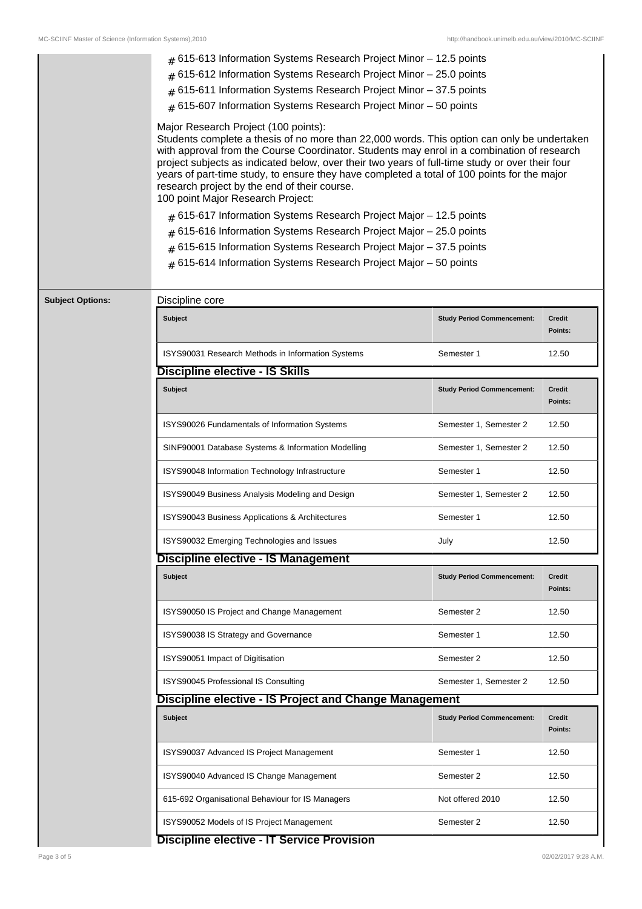|                         | $#$ 615-613 Information Systems Research Project Minor $-$ 12.5 points                                                                                                                                                                                                                                                                                                                                                                                                                                                                                                                                                                                                                                                                                                                                                  |                                   |                          |
|-------------------------|-------------------------------------------------------------------------------------------------------------------------------------------------------------------------------------------------------------------------------------------------------------------------------------------------------------------------------------------------------------------------------------------------------------------------------------------------------------------------------------------------------------------------------------------------------------------------------------------------------------------------------------------------------------------------------------------------------------------------------------------------------------------------------------------------------------------------|-----------------------------------|--------------------------|
|                         | $#$ 615-612 Information Systems Research Project Minor $-25.0$ points                                                                                                                                                                                                                                                                                                                                                                                                                                                                                                                                                                                                                                                                                                                                                   |                                   |                          |
|                         | $#$ 615-611 Information Systems Research Project Minor - 37.5 points                                                                                                                                                                                                                                                                                                                                                                                                                                                                                                                                                                                                                                                                                                                                                    |                                   |                          |
|                         | $#$ 615-607 Information Systems Research Project Minor $-50$ points                                                                                                                                                                                                                                                                                                                                                                                                                                                                                                                                                                                                                                                                                                                                                     |                                   |                          |
|                         | Major Research Project (100 points):<br>Students complete a thesis of no more than 22,000 words. This option can only be undertaken<br>with approval from the Course Coordinator. Students may enrol in a combination of research<br>project subjects as indicated below, over their two years of full-time study or over their four<br>years of part-time study, to ensure they have completed a total of 100 points for the major<br>research project by the end of their course.<br>100 point Major Research Project:<br>$#$ 615-617 Information Systems Research Project Major – 12.5 points<br>$#$ 615-616 Information Systems Research Project Major - 25.0 points<br>$#$ 615-615 Information Systems Research Project Major - 37.5 points<br>$#$ 615-614 Information Systems Research Project Major $-50$ points |                                   |                          |
| <b>Subject Options:</b> | Discipline core                                                                                                                                                                                                                                                                                                                                                                                                                                                                                                                                                                                                                                                                                                                                                                                                         |                                   |                          |
|                         | <b>Subject</b>                                                                                                                                                                                                                                                                                                                                                                                                                                                                                                                                                                                                                                                                                                                                                                                                          | <b>Study Period Commencement:</b> | <b>Credit</b><br>Points: |
|                         | ISYS90031 Research Methods in Information Systems                                                                                                                                                                                                                                                                                                                                                                                                                                                                                                                                                                                                                                                                                                                                                                       | Semester 1                        | 12.50                    |
|                         | <b>Discipline elective - IS Skills</b>                                                                                                                                                                                                                                                                                                                                                                                                                                                                                                                                                                                                                                                                                                                                                                                  |                                   |                          |
|                         | <b>Subject</b>                                                                                                                                                                                                                                                                                                                                                                                                                                                                                                                                                                                                                                                                                                                                                                                                          | <b>Study Period Commencement:</b> | <b>Credit</b><br>Points: |
|                         | ISYS90026 Fundamentals of Information Systems                                                                                                                                                                                                                                                                                                                                                                                                                                                                                                                                                                                                                                                                                                                                                                           | Semester 1, Semester 2            | 12.50                    |
|                         | SINF90001 Database Systems & Information Modelling                                                                                                                                                                                                                                                                                                                                                                                                                                                                                                                                                                                                                                                                                                                                                                      | Semester 1, Semester 2            | 12.50                    |
|                         | ISYS90048 Information Technology Infrastructure                                                                                                                                                                                                                                                                                                                                                                                                                                                                                                                                                                                                                                                                                                                                                                         | Semester 1                        | 12.50                    |
|                         | ISYS90049 Business Analysis Modeling and Design                                                                                                                                                                                                                                                                                                                                                                                                                                                                                                                                                                                                                                                                                                                                                                         | Semester 1, Semester 2            | 12.50                    |
|                         | ISYS90043 Business Applications & Architectures                                                                                                                                                                                                                                                                                                                                                                                                                                                                                                                                                                                                                                                                                                                                                                         | Semester 1                        | 12.50                    |
|                         | ISYS90032 Emerging Technologies and Issues                                                                                                                                                                                                                                                                                                                                                                                                                                                                                                                                                                                                                                                                                                                                                                              | July                              | 12.50                    |
|                         | Discipline elective - IS Management                                                                                                                                                                                                                                                                                                                                                                                                                                                                                                                                                                                                                                                                                                                                                                                     |                                   |                          |
|                         | <b>Subject</b>                                                                                                                                                                                                                                                                                                                                                                                                                                                                                                                                                                                                                                                                                                                                                                                                          | <b>Study Period Commencement:</b> | <b>Credit</b><br>Points: |
|                         | ISYS90050 IS Project and Change Management                                                                                                                                                                                                                                                                                                                                                                                                                                                                                                                                                                                                                                                                                                                                                                              | Semester 2                        | 12.50                    |
|                         | ISYS90038 IS Strategy and Governance                                                                                                                                                                                                                                                                                                                                                                                                                                                                                                                                                                                                                                                                                                                                                                                    | Semester 1                        | 12.50                    |
|                         | ISYS90051 Impact of Digitisation                                                                                                                                                                                                                                                                                                                                                                                                                                                                                                                                                                                                                                                                                                                                                                                        | Semester 2                        | 12.50                    |
|                         | ISYS90045 Professional IS Consulting                                                                                                                                                                                                                                                                                                                                                                                                                                                                                                                                                                                                                                                                                                                                                                                    | Semester 1, Semester 2            | 12.50                    |
|                         | <b>Discipline elective - IS Project and Change Management</b>                                                                                                                                                                                                                                                                                                                                                                                                                                                                                                                                                                                                                                                                                                                                                           |                                   |                          |
|                         | Subject                                                                                                                                                                                                                                                                                                                                                                                                                                                                                                                                                                                                                                                                                                                                                                                                                 | <b>Study Period Commencement:</b> | <b>Credit</b><br>Points: |
|                         | ISYS90037 Advanced IS Project Management                                                                                                                                                                                                                                                                                                                                                                                                                                                                                                                                                                                                                                                                                                                                                                                | Semester 1                        | 12.50                    |
|                         | ISYS90040 Advanced IS Change Management                                                                                                                                                                                                                                                                                                                                                                                                                                                                                                                                                                                                                                                                                                                                                                                 | Semester 2                        | 12.50                    |
|                         | 615-692 Organisational Behaviour for IS Managers                                                                                                                                                                                                                                                                                                                                                                                                                                                                                                                                                                                                                                                                                                                                                                        | Not offered 2010                  | 12.50                    |
|                         | ISYS90052 Models of IS Project Management                                                                                                                                                                                                                                                                                                                                                                                                                                                                                                                                                                                                                                                                                                                                                                               | Semester 2                        | 12.50                    |
|                         | <b>Discipline elective - IT Service Provision</b>                                                                                                                                                                                                                                                                                                                                                                                                                                                                                                                                                                                                                                                                                                                                                                       |                                   |                          |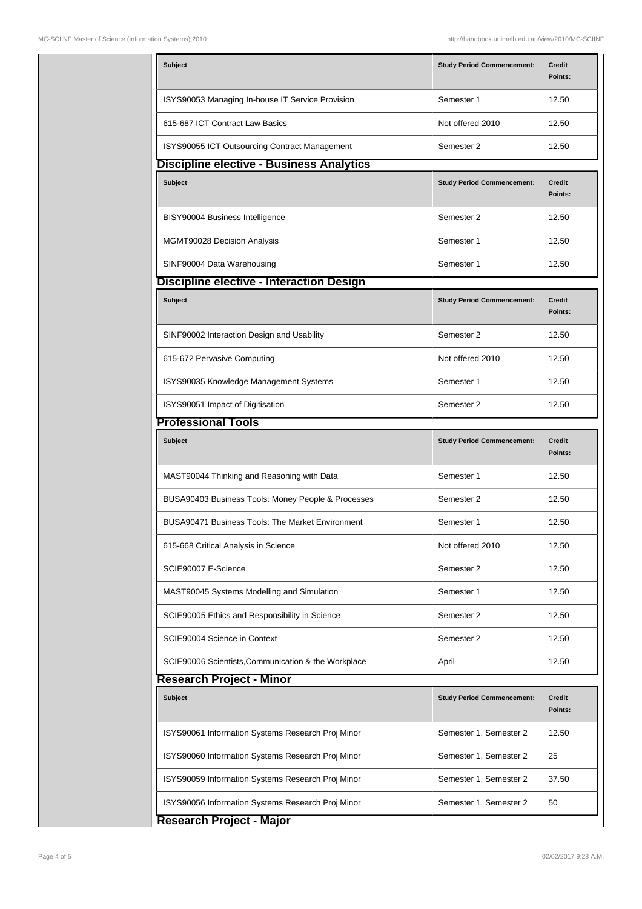| Subject                                             | <b>Study Period Commencement:</b> | Credit<br>Points:        |
|-----------------------------------------------------|-----------------------------------|--------------------------|
| ISYS90053 Managing In-house IT Service Provision    | Semester 1                        | 12.50                    |
| 615-687 ICT Contract Law Basics                     | Not offered 2010                  | 12.50                    |
| ISYS90055 ICT Outsourcing Contract Management       | Semester 2                        | 12.50                    |
| Discipline elective - Business Analytics            |                                   |                          |
| Subject                                             | <b>Study Period Commencement:</b> | <b>Credit</b><br>Points: |
| BISY90004 Business Intelligence                     | Semester 2                        | 12.50                    |
| MGMT90028 Decision Analysis                         | Semester 1                        | 12.50                    |
| SINF90004 Data Warehousing                          | Semester 1                        | 12.50                    |
| Discipline elective - Interaction Design            |                                   |                          |
| <b>Subject</b>                                      | <b>Study Period Commencement:</b> | <b>Credit</b><br>Points: |
| SINF90002 Interaction Design and Usability          | Semester 2                        | 12.50                    |
| 615-672 Pervasive Computing                         | Not offered 2010                  | 12.50                    |
| ISYS90035 Knowledge Management Systems              | Semester 1                        | 12.50                    |
| ISYS90051 Impact of Digitisation                    | Semester 2                        | 12.50                    |
| <b>Professional Tools</b>                           |                                   |                          |
| <b>Subject</b>                                      | <b>Study Period Commencement:</b> | <b>Credit</b><br>Points: |
| MAST90044 Thinking and Reasoning with Data          | Semester 1                        | 12.50                    |
| BUSA90403 Business Tools: Money People & Processes  | Semester 2                        | 12.50                    |
| BUSA90471 Business Tools: The Market Environment    | Semester 1                        | 12.50                    |
| 615-668 Critical Analysis in Science                | Not offered 2010                  | 12.50                    |
| SCIE90007 E-Science                                 | Semester 2                        | 12.50                    |
| MAST90045 Systems Modelling and Simulation          | Semester 1                        | 12.50                    |
| SCIE90005 Ethics and Responsibility in Science      | Semester 2                        | 12.50                    |
| SCIE90004 Science in Context                        | Semester 2                        | 12.50                    |
| SCIE90006 Scientists, Communication & the Workplace | April                             | 12.50                    |
| <b>Research Project - Minor</b>                     |                                   |                          |
| <b>Subject</b>                                      | <b>Study Period Commencement:</b> | Credit<br>Points:        |
| ISYS90061 Information Systems Research Proj Minor   | Semester 1, Semester 2            | 12.50                    |
| ISYS90060 Information Systems Research Proj Minor   | Semester 1, Semester 2            | 25                       |
| ISYS90059 Information Systems Research Proj Minor   | Semester 1, Semester 2            | 37.50                    |
| ISYS90056 Information Systems Research Proj Minor   | Semester 1, Semester 2            | 50                       |

**Research Project - Major**